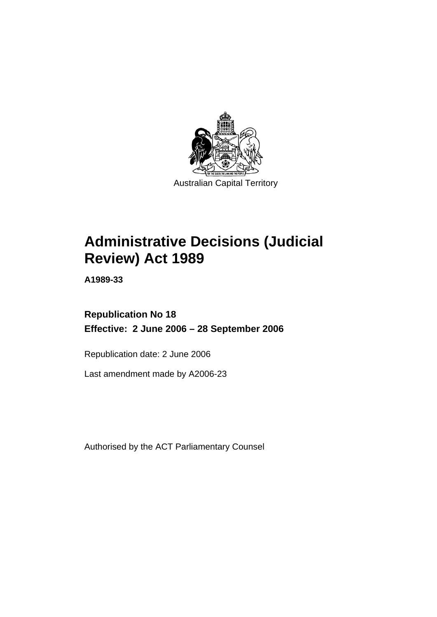

# **Administrative Decisions (Judicial Review) Act 1989**

**A1989-33** 

# **Republication No 18 Effective: 2 June 2006 – 28 September 2006**

Republication date: 2 June 2006

Last amendment made by A2006-23

Authorised by the ACT Parliamentary Counsel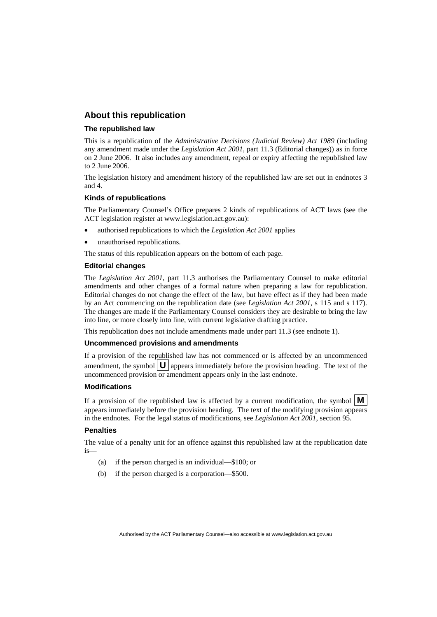# **About this republication**

#### **The republished law**

This is a republication of the *Administrative Decisions (Judicial Review) Act 1989* (including any amendment made under the *Legislation Act 2001*, part 11.3 (Editorial changes)) as in force on 2 June 2006*.* It also includes any amendment, repeal or expiry affecting the republished law to 2 June 2006.

The legislation history and amendment history of the republished law are set out in endnotes 3 and 4.

#### **Kinds of republications**

The Parliamentary Counsel's Office prepares 2 kinds of republications of ACT laws (see the ACT legislation register at www.legislation.act.gov.au):

- authorised republications to which the *Legislation Act 2001* applies
- unauthorised republications.

The status of this republication appears on the bottom of each page.

#### **Editorial changes**

The *Legislation Act 2001*, part 11.3 authorises the Parliamentary Counsel to make editorial amendments and other changes of a formal nature when preparing a law for republication. Editorial changes do not change the effect of the law, but have effect as if they had been made by an Act commencing on the republication date (see *Legislation Act 2001*, s 115 and s 117). The changes are made if the Parliamentary Counsel considers they are desirable to bring the law into line, or more closely into line, with current legislative drafting practice.

This republication does not include amendments made under part 11.3 (see endnote 1).

#### **Uncommenced provisions and amendments**

If a provision of the republished law has not commenced or is affected by an uncommenced amendment, the symbol  $\mathbf{U}$  appears immediately before the provision heading. The text of the uncommenced provision or amendment appears only in the last endnote.

#### **Modifications**

If a provision of the republished law is affected by a current modification, the symbol  $\mathbf{M}$ appears immediately before the provision heading. The text of the modifying provision appears in the endnotes. For the legal status of modifications, see *Legislation Act 2001*, section 95.

#### **Penalties**

The value of a penalty unit for an offence against this republished law at the republication date is—

- (a) if the person charged is an individual—\$100; or
- (b) if the person charged is a corporation—\$500.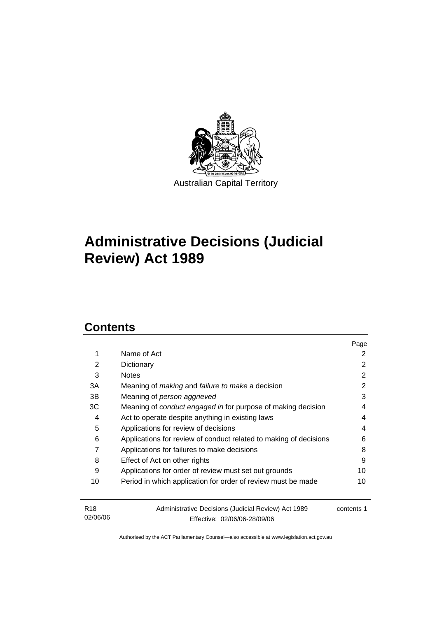

# **Administrative Decisions (Judicial Review) Act 1989**

# **Contents**

02/06/06

|                 |                                                                     | Page       |
|-----------------|---------------------------------------------------------------------|------------|
| 1               | Name of Act                                                         | 2          |
| 2               | Dictionary                                                          | 2          |
| 3               | <b>Notes</b>                                                        | 2          |
| 3A              | Meaning of <i>making</i> and <i>failure to make</i> a decision      | 2          |
| 3B              | Meaning of person aggrieved                                         | 3          |
| ЗC              | Meaning of <i>conduct engaged in</i> for purpose of making decision | 4          |
| 4               | Act to operate despite anything in existing laws                    | 4          |
| 5               | Applications for review of decisions                                | 4          |
| 6               | Applications for review of conduct related to making of decisions   | 6          |
| 7               | Applications for failures to make decisions                         | 8          |
| 8               | Effect of Act on other rights                                       | 9          |
| 9               | Applications for order of review must set out grounds               | 10         |
| 10              | Period in which application for order of review must be made        | 10         |
| R <sub>18</sub> | Administrative Decisions (Judicial Review) Act 1989                 | contents 1 |

Authorised by the ACT Parliamentary Counsel—also accessible at www.legislation.act.gov.au

Effective: 02/06/06-28/09/06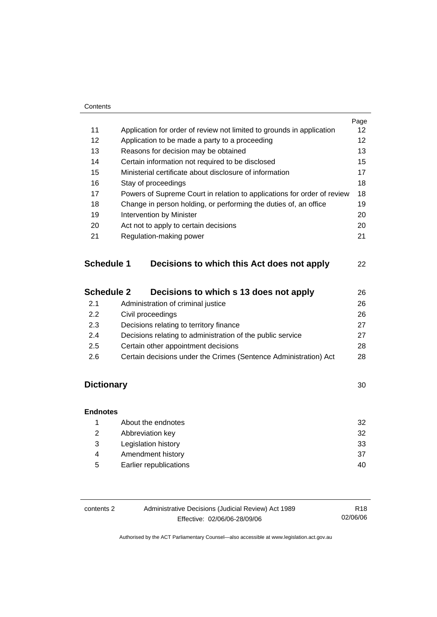#### **Contents**

|                   |                                                                         | Page |
|-------------------|-------------------------------------------------------------------------|------|
| 11                | Application for order of review not limited to grounds in application   | 12   |
| 12 <sup>2</sup>   | Application to be made a party to a proceeding                          | 12   |
| 13                | Reasons for decision may be obtained                                    | 13   |
| 14                | Certain information not required to be disclosed                        | 15   |
| 15                | Ministerial certificate about disclosure of information                 | 17   |
| 16                | Stay of proceedings                                                     | 18   |
| 17                | Powers of Supreme Court in relation to applications for order of review | 18   |
| 18                | Change in person holding, or performing the duties of, an office        | 19   |
| 19                | Intervention by Minister                                                | 20   |
| 20                | Act not to apply to certain decisions                                   | 20   |
| 21                | Regulation-making power                                                 | 21   |
| <b>Schedule 1</b> | Decisions to which this Act does not apply                              | 22   |
| <b>Schedule 2</b> | Decisions to which s 13 does not apply                                  | 26   |

| 2.1 | Administration of criminal justice                               | 26 |
|-----|------------------------------------------------------------------|----|
| 2.2 | Civil proceedings                                                | 26 |
| 2.3 | Decisions relating to territory finance                          | 27 |
| 2.4 | Decisions relating to administration of the public service       | 27 |
| 2.5 | Certain other appointment decisions                              | 28 |
| 2.6 | Certain decisions under the Crimes (Sentence Administration) Act | 28 |
|     |                                                                  |    |

# **Dictionary** 30

| <b>Endnotes</b> |                        |    |
|-----------------|------------------------|----|
|                 | About the endnotes     | 32 |
| 2               | Abbreviation key       | 32 |
| 3               | Legislation history    | 33 |
| 4               | Amendment history      | 37 |
| 5               | Earlier republications | 40 |

| contents 2 | Administrative Decisions (Judicial Review) Act 1989 | R <sub>18</sub> |
|------------|-----------------------------------------------------|-----------------|
|            | Effective: 02/06/06-28/09/06                        | 02/06/06        |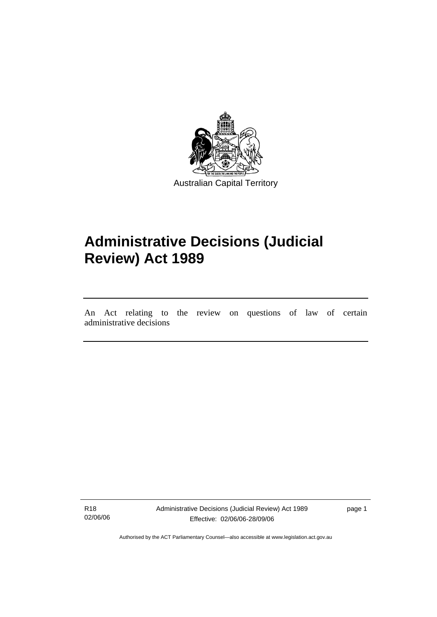

# **Administrative Decisions (Judicial Review) Act 1989**

An Act relating to the review on questions of law of certain administrative decisions

R18 02/06/06

l

Administrative Decisions (Judicial Review) Act 1989 Effective: 02/06/06-28/09/06

page 1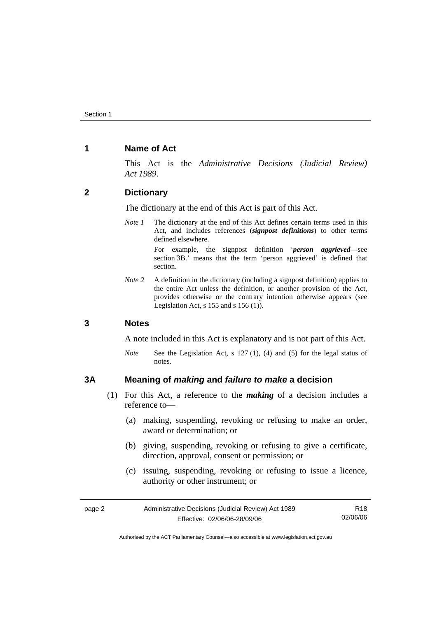# **1 Name of Act**

This Act is the *Administrative Decisions (Judicial Review) Act 1989*.

## **2 Dictionary**

The dictionary at the end of this Act is part of this Act.

*Note 1* The dictionary at the end of this Act defines certain terms used in this Act, and includes references (*signpost definitions*) to other terms defined elsewhere.

> For example, the signpost definition '*person aggrieved*—see section 3B.' means that the term 'person aggrieved' is defined that section.

*Note 2* A definition in the dictionary (including a signpost definition) applies to the entire Act unless the definition, or another provision of the Act, provides otherwise or the contrary intention otherwise appears (see Legislation Act,  $s$  155 and  $s$  156 (1)).

### **3 Notes**

A note included in this Act is explanatory and is not part of this Act.

*Note* See the Legislation Act, s 127 (1), (4) and (5) for the legal status of notes.

# **3A Meaning of** *making* **and** *failure to make* **a decision**

- (1) For this Act, a reference to the *making* of a decision includes a reference to—
	- (a) making, suspending, revoking or refusing to make an order, award or determination; or
	- (b) giving, suspending, revoking or refusing to give a certificate, direction, approval, consent or permission; or
	- (c) issuing, suspending, revoking or refusing to issue a licence, authority or other instrument; or

| page 2 | Administrative Decisions (Judicial Review) Act 1989 | R18      |
|--------|-----------------------------------------------------|----------|
|        | Effective: 02/06/06-28/09/06                        | 02/06/06 |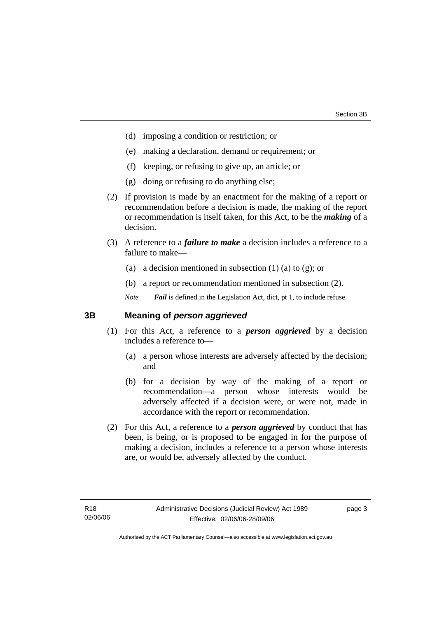- (d) imposing a condition or restriction; or
- (e) making a declaration, demand or requirement; or
- (f) keeping, or refusing to give up, an article; or
- (g) doing or refusing to do anything else;
- (2) If provision is made by an enactment for the making of a report or recommendation before a decision is made, the making of the report or recommendation is itself taken, for this Act, to be the *making* of a decision.
- (3) A reference to a *failure to make* a decision includes a reference to a failure to make—
	- (a) a decision mentioned in subsection  $(1)$  (a) to  $(g)$ ; or
	- (b) a report or recommendation mentioned in subsection (2).

*Note Fail* is defined in the Legislation Act, dict, pt 1, to include refuse.

### **3B Meaning of** *person aggrieved*

- (1) For this Act, a reference to a *person aggrieved* by a decision includes a reference to—
	- (a) a person whose interests are adversely affected by the decision; and
	- (b) for a decision by way of the making of a report or recommendation—a person whose interests would be adversely affected if a decision were, or were not, made in accordance with the report or recommendation.
- (2) For this Act, a reference to a *person aggrieved* by conduct that has been, is being, or is proposed to be engaged in for the purpose of making a decision, includes a reference to a person whose interests are, or would be, adversely affected by the conduct.

page 3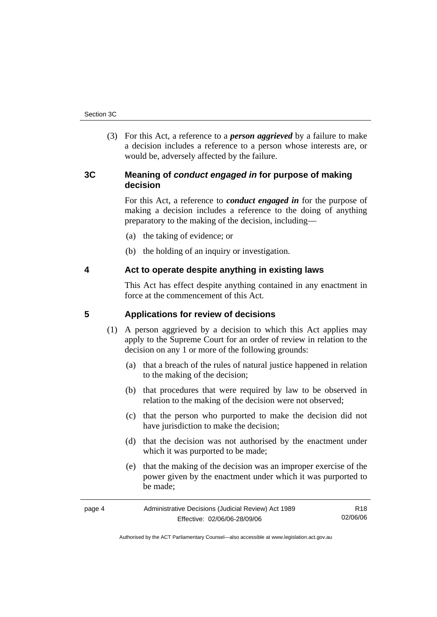(3) For this Act, a reference to a *person aggrieved* by a failure to make a decision includes a reference to a person whose interests are, or would be, adversely affected by the failure.

# **3C Meaning of** *conduct engaged in* **for purpose of making decision**

For this Act, a reference to *conduct engaged in* for the purpose of making a decision includes a reference to the doing of anything preparatory to the making of the decision, including—

- (a) the taking of evidence; or
- (b) the holding of an inquiry or investigation.

# **4 Act to operate despite anything in existing laws**

This Act has effect despite anything contained in any enactment in force at the commencement of this Act.

# **5 Applications for review of decisions**

- (1) A person aggrieved by a decision to which this Act applies may apply to the Supreme Court for an order of review in relation to the decision on any 1 or more of the following grounds:
	- (a) that a breach of the rules of natural justice happened in relation to the making of the decision;
	- (b) that procedures that were required by law to be observed in relation to the making of the decision were not observed;
	- (c) that the person who purported to make the decision did not have jurisdiction to make the decision;
	- (d) that the decision was not authorised by the enactment under which it was purported to be made;
	- (e) that the making of the decision was an improper exercise of the power given by the enactment under which it was purported to be made;

| page 4 | Administrative Decisions (Judicial Review) Act 1989 | R18      |
|--------|-----------------------------------------------------|----------|
|        | Effective: 02/06/06-28/09/06                        | 02/06/06 |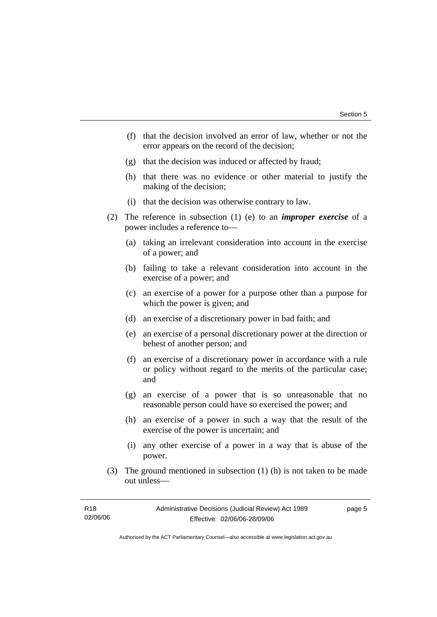- (f) that the decision involved an error of law, whether or not the error appears on the record of the decision;
- (g) that the decision was induced or affected by fraud;
- (h) that there was no evidence or other material to justify the making of the decision;
- (i) that the decision was otherwise contrary to law.
- (2) The reference in subsection (1) (e) to an *improper exercise* of a power includes a reference to—
	- (a) taking an irrelevant consideration into account in the exercise of a power; and
	- (b) failing to take a relevant consideration into account in the exercise of a power; and
	- (c) an exercise of a power for a purpose other than a purpose for which the power is given; and
	- (d) an exercise of a discretionary power in bad faith; and
	- (e) an exercise of a personal discretionary power at the direction or behest of another person; and
	- (f) an exercise of a discretionary power in accordance with a rule or policy without regard to the merits of the particular case; and
	- (g) an exercise of a power that is so unreasonable that no reasonable person could have so exercised the power; and
	- (h) an exercise of a power in such a way that the result of the exercise of the power is uncertain; and
	- (i) any other exercise of a power in a way that is abuse of the power.
- (3) The ground mentioned in subsection (1) (h) is not taken to be made out unless—

| R18      | Administrative Decisions (Judicial Review) Act 1989 | page 5 |
|----------|-----------------------------------------------------|--------|
| 02/06/06 | Effective: 02/06/06-28/09/06                        |        |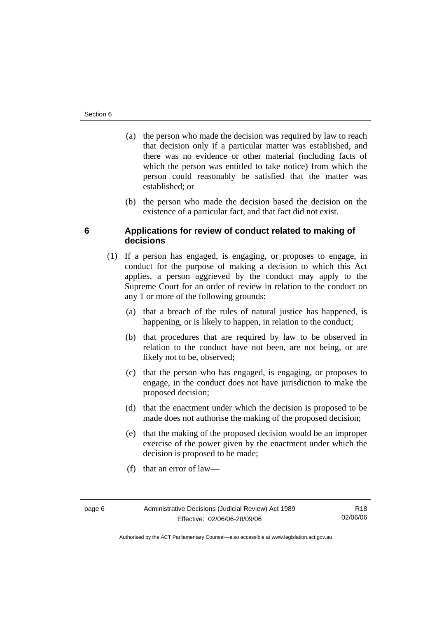- (a) the person who made the decision was required by law to reach that decision only if a particular matter was established, and there was no evidence or other material (including facts of which the person was entitled to take notice) from which the person could reasonably be satisfied that the matter was established; or
- (b) the person who made the decision based the decision on the existence of a particular fact, and that fact did not exist.

# **6 Applications for review of conduct related to making of decisions**

- (1) If a person has engaged, is engaging, or proposes to engage, in conduct for the purpose of making a decision to which this Act applies, a person aggrieved by the conduct may apply to the Supreme Court for an order of review in relation to the conduct on any 1 or more of the following grounds:
	- (a) that a breach of the rules of natural justice has happened, is happening, or is likely to happen, in relation to the conduct;
	- (b) that procedures that are required by law to be observed in relation to the conduct have not been, are not being, or are likely not to be, observed;
	- (c) that the person who has engaged, is engaging, or proposes to engage, in the conduct does not have jurisdiction to make the proposed decision;
	- (d) that the enactment under which the decision is proposed to be made does not authorise the making of the proposed decision;
	- (e) that the making of the proposed decision would be an improper exercise of the power given by the enactment under which the decision is proposed to be made;
	- (f) that an error of law—

R18 02/06/06

Authorised by the ACT Parliamentary Counsel—also accessible at www.legislation.act.gov.au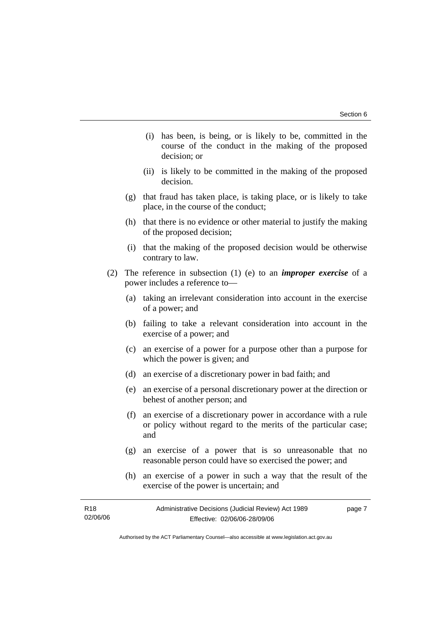- (i) has been, is being, or is likely to be, committed in the course of the conduct in the making of the proposed decision; or
- (ii) is likely to be committed in the making of the proposed decision.
- (g) that fraud has taken place, is taking place, or is likely to take place, in the course of the conduct;
- (h) that there is no evidence or other material to justify the making of the proposed decision;
- (i) that the making of the proposed decision would be otherwise contrary to law.
- (2) The reference in subsection (1) (e) to an *improper exercise* of a power includes a reference to—
	- (a) taking an irrelevant consideration into account in the exercise of a power; and
	- (b) failing to take a relevant consideration into account in the exercise of a power; and
	- (c) an exercise of a power for a purpose other than a purpose for which the power is given; and
	- (d) an exercise of a discretionary power in bad faith; and
	- (e) an exercise of a personal discretionary power at the direction or behest of another person; and
	- (f) an exercise of a discretionary power in accordance with a rule or policy without regard to the merits of the particular case; and
	- (g) an exercise of a power that is so unreasonable that no reasonable person could have so exercised the power; and
	- (h) an exercise of a power in such a way that the result of the exercise of the power is uncertain; and

| R18      | Administrative Decisions (Judicial Review) Act 1989 | page 7 |
|----------|-----------------------------------------------------|--------|
| 02/06/06 | Effective: 02/06/06-28/09/06                        |        |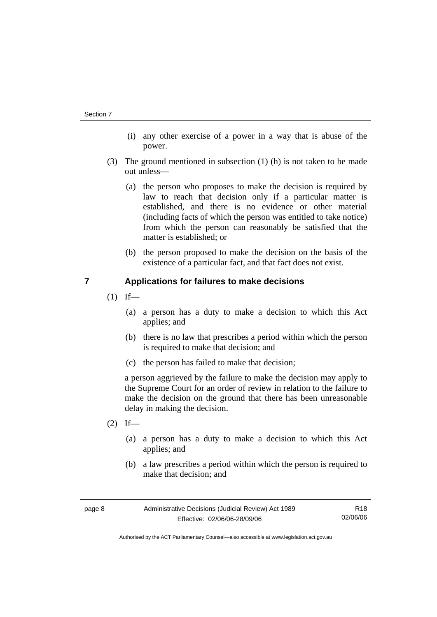- (i) any other exercise of a power in a way that is abuse of the power.
- (3) The ground mentioned in subsection (1) (h) is not taken to be made out unless—
	- (a) the person who proposes to make the decision is required by law to reach that decision only if a particular matter is established, and there is no evidence or other material (including facts of which the person was entitled to take notice) from which the person can reasonably be satisfied that the matter is established; or
	- (b) the person proposed to make the decision on the basis of the existence of a particular fact, and that fact does not exist.

# **7 Applications for failures to make decisions**

- $(1)$  If—
	- (a) a person has a duty to make a decision to which this Act applies; and
	- (b) there is no law that prescribes a period within which the person is required to make that decision; and
	- (c) the person has failed to make that decision;

a person aggrieved by the failure to make the decision may apply to the Supreme Court for an order of review in relation to the failure to make the decision on the ground that there has been unreasonable delay in making the decision.

- $(2)$  If—
	- (a) a person has a duty to make a decision to which this Act applies; and
	- (b) a law prescribes a period within which the person is required to make that decision; and

| page 8 | Administrative Decisions (Judicial Review) Act 1989 | R18      |
|--------|-----------------------------------------------------|----------|
|        | Effective: 02/06/06-28/09/06                        | 02/06/06 |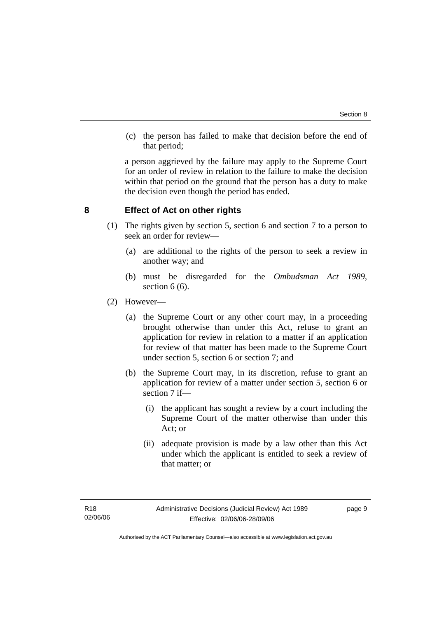(c) the person has failed to make that decision before the end of that period;

a person aggrieved by the failure may apply to the Supreme Court for an order of review in relation to the failure to make the decision within that period on the ground that the person has a duty to make the decision even though the period has ended.

## **8 Effect of Act on other rights**

- (1) The rights given by section 5, section 6 and section 7 to a person to seek an order for review—
	- (a) are additional to the rights of the person to seek a review in another way; and
	- (b) must be disregarded for the *Ombudsman Act 1989*, section 6 (6).
- (2) However—
	- (a) the Supreme Court or any other court may, in a proceeding brought otherwise than under this Act, refuse to grant an application for review in relation to a matter if an application for review of that matter has been made to the Supreme Court under section 5, section 6 or section 7; and
	- (b) the Supreme Court may, in its discretion, refuse to grant an application for review of a matter under section 5, section 6 or section 7 if—
		- (i) the applicant has sought a review by a court including the Supreme Court of the matter otherwise than under this Act; or
		- (ii) adequate provision is made by a law other than this Act under which the applicant is entitled to seek a review of that matter; or

page 9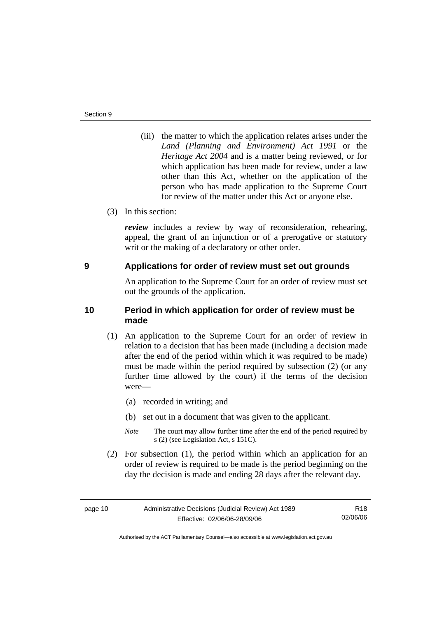- (iii) the matter to which the application relates arises under the *Land (Planning and Environment) Act 1991* or the *Heritage Act 2004* and is a matter being reviewed, or for which application has been made for review, under a law other than this Act, whether on the application of the person who has made application to the Supreme Court for review of the matter under this Act or anyone else.
- (3) In this section:

*review* includes a review by way of reconsideration, rehearing, appeal, the grant of an injunction or of a prerogative or statutory writ or the making of a declaratory or other order.

### **9 Applications for order of review must set out grounds**

An application to the Supreme Court for an order of review must set out the grounds of the application.

# **10 Period in which application for order of review must be made**

- (1) An application to the Supreme Court for an order of review in relation to a decision that has been made (including a decision made after the end of the period within which it was required to be made) must be made within the period required by subsection (2) (or any further time allowed by the court) if the terms of the decision were—
	- (a) recorded in writing; and
	- (b) set out in a document that was given to the applicant.
	- *Note* The court may allow further time after the end of the period required by s (2) (see Legislation Act, s 151C).
- (2) For subsection (1), the period within which an application for an order of review is required to be made is the period beginning on the day the decision is made and ending 28 days after the relevant day.

R18 02/06/06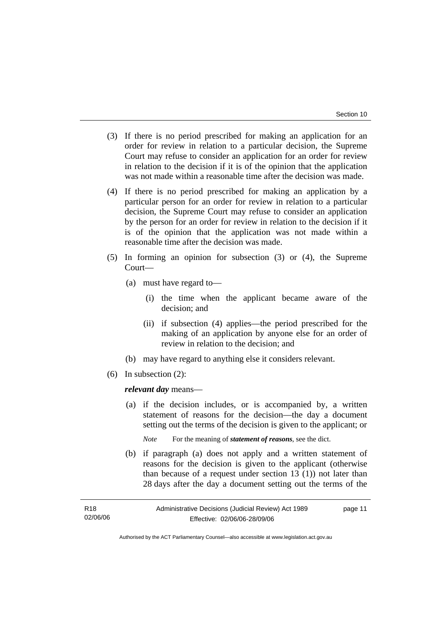- (3) If there is no period prescribed for making an application for an order for review in relation to a particular decision, the Supreme Court may refuse to consider an application for an order for review in relation to the decision if it is of the opinion that the application was not made within a reasonable time after the decision was made.
- (4) If there is no period prescribed for making an application by a particular person for an order for review in relation to a particular decision, the Supreme Court may refuse to consider an application by the person for an order for review in relation to the decision if it is of the opinion that the application was not made within a reasonable time after the decision was made.
- (5) In forming an opinion for subsection (3) or (4), the Supreme Court—
	- (a) must have regard to—
		- (i) the time when the applicant became aware of the decision; and
		- (ii) if subsection (4) applies—the period prescribed for the making of an application by anyone else for an order of review in relation to the decision; and
	- (b) may have regard to anything else it considers relevant.
- (6) In subsection (2):

*relevant day* means—

 (a) if the decision includes, or is accompanied by, a written statement of reasons for the decision—the day a document setting out the terms of the decision is given to the applicant; or

*Note* For the meaning of *statement of reasons*, see the dict.

 (b) if paragraph (a) does not apply and a written statement of reasons for the decision is given to the applicant (otherwise than because of a request under section 13 (1)) not later than 28 days after the day a document setting out the terms of the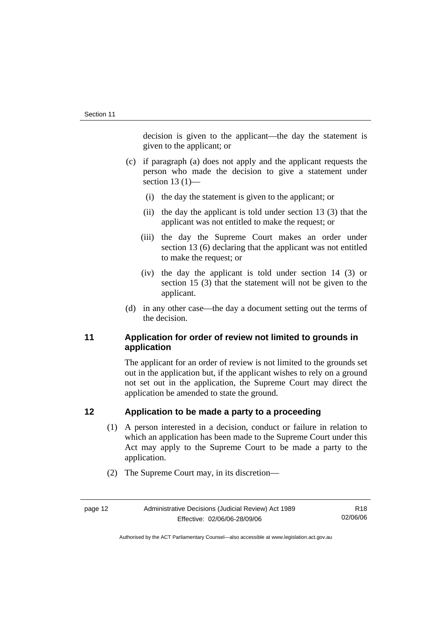decision is given to the applicant—the day the statement is given to the applicant; or

- (c) if paragraph (a) does not apply and the applicant requests the person who made the decision to give a statement under section  $13(1)$ —
	- (i) the day the statement is given to the applicant; or
	- (ii) the day the applicant is told under section 13 (3) that the applicant was not entitled to make the request; or
	- (iii) the day the Supreme Court makes an order under section 13 (6) declaring that the applicant was not entitled to make the request; or
	- (iv) the day the applicant is told under section 14 (3) or section 15 (3) that the statement will not be given to the applicant.
- (d) in any other case—the day a document setting out the terms of the decision.

# **11 Application for order of review not limited to grounds in application**

The applicant for an order of review is not limited to the grounds set out in the application but, if the applicant wishes to rely on a ground not set out in the application, the Supreme Court may direct the application be amended to state the ground.

# **12 Application to be made a party to a proceeding**

- (1) A person interested in a decision, conduct or failure in relation to which an application has been made to the Supreme Court under this Act may apply to the Supreme Court to be made a party to the application.
- (2) The Supreme Court may, in its discretion—

R18 02/06/06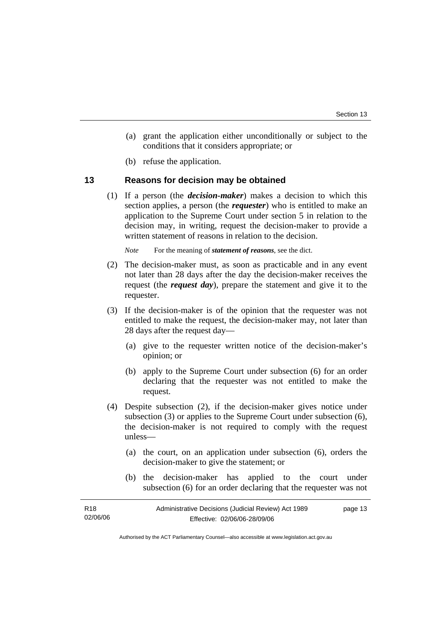- (a) grant the application either unconditionally or subject to the conditions that it considers appropriate; or
- (b) refuse the application.

### **13 Reasons for decision may be obtained**

 (1) If a person (the *decision-maker*) makes a decision to which this section applies, a person (the *requester*) who is entitled to make an application to the Supreme Court under section 5 in relation to the decision may, in writing, request the decision-maker to provide a written statement of reasons in relation to the decision.

*Note* For the meaning of *statement of reasons*, see the dict.

- (2) The decision-maker must, as soon as practicable and in any event not later than 28 days after the day the decision-maker receives the request (the *request day*), prepare the statement and give it to the requester.
- (3) If the decision-maker is of the opinion that the requester was not entitled to make the request, the decision-maker may, not later than 28 days after the request day—
	- (a) give to the requester written notice of the decision-maker's opinion; or
	- (b) apply to the Supreme Court under subsection (6) for an order declaring that the requester was not entitled to make the request.
- (4) Despite subsection (2), if the decision-maker gives notice under subsection (3) or applies to the Supreme Court under subsection (6), the decision-maker is not required to comply with the request unless—
	- (a) the court, on an application under subsection (6), orders the decision-maker to give the statement; or
	- (b) the decision-maker has applied to the court under subsection (6) for an order declaring that the requester was not

| R <sub>18</sub> | Administrative Decisions (Judicial Review) Act 1989 | page 13 |
|-----------------|-----------------------------------------------------|---------|
| 02/06/06        | Effective: 02/06/06-28/09/06                        |         |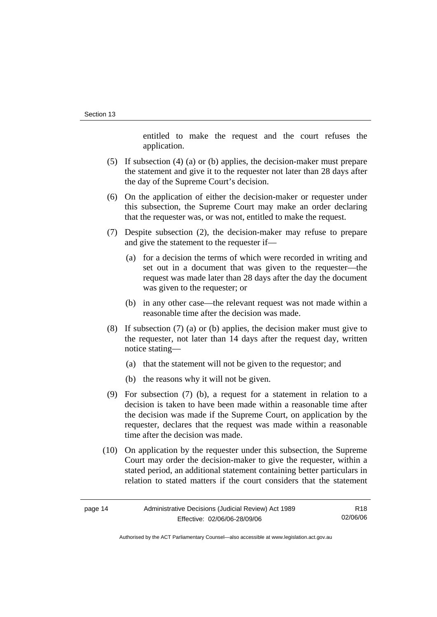entitled to make the request and the court refuses the application.

- (5) If subsection (4) (a) or (b) applies, the decision-maker must prepare the statement and give it to the requester not later than 28 days after the day of the Supreme Court's decision.
- (6) On the application of either the decision-maker or requester under this subsection, the Supreme Court may make an order declaring that the requester was, or was not, entitled to make the request.
- (7) Despite subsection (2), the decision-maker may refuse to prepare and give the statement to the requester if—
	- (a) for a decision the terms of which were recorded in writing and set out in a document that was given to the requester—the request was made later than 28 days after the day the document was given to the requester; or
	- (b) in any other case—the relevant request was not made within a reasonable time after the decision was made.
- (8) If subsection (7) (a) or (b) applies, the decision maker must give to the requester, not later than 14 days after the request day, written notice stating—
	- (a) that the statement will not be given to the requestor; and
	- (b) the reasons why it will not be given.
- (9) For subsection (7) (b), a request for a statement in relation to a decision is taken to have been made within a reasonable time after the decision was made if the Supreme Court, on application by the requester, declares that the request was made within a reasonable time after the decision was made.
- (10) On application by the requester under this subsection, the Supreme Court may order the decision-maker to give the requester, within a stated period, an additional statement containing better particulars in relation to stated matters if the court considers that the statement

R18 02/06/06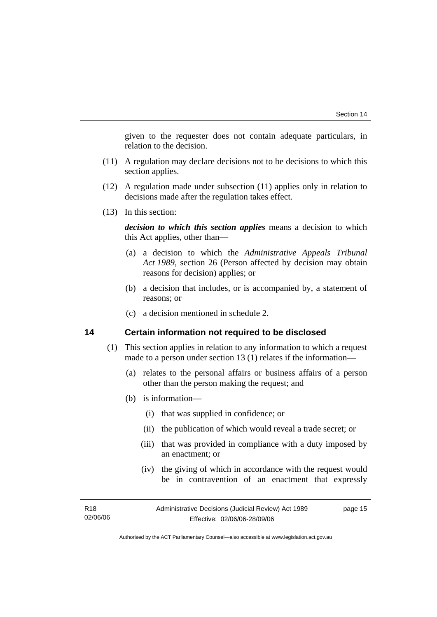given to the requester does not contain adequate particulars, in relation to the decision.

- (11) A regulation may declare decisions not to be decisions to which this section applies.
- (12) A regulation made under subsection (11) applies only in relation to decisions made after the regulation takes effect.
- (13) In this section:

*decision to which this section applies* means a decision to which this Act applies, other than—

- (a) a decision to which the *Administrative Appeals Tribunal Act 1989*, section 26 (Person affected by decision may obtain reasons for decision) applies; or
- (b) a decision that includes, or is accompanied by, a statement of reasons; or
- (c) a decision mentioned in schedule 2.

### **14 Certain information not required to be disclosed**

- (1) This section applies in relation to any information to which a request made to a person under section 13 (1) relates if the information—
	- (a) relates to the personal affairs or business affairs of a person other than the person making the request; and
	- (b) is information—
		- (i) that was supplied in confidence; or
		- (ii) the publication of which would reveal a trade secret; or
		- (iii) that was provided in compliance with a duty imposed by an enactment; or
		- (iv) the giving of which in accordance with the request would be in contravention of an enactment that expressly

| R <sub>18</sub> | Administrative Decisions (Judicial Review) Act 1989 | page 15 |
|-----------------|-----------------------------------------------------|---------|
| 02/06/06        | Effective: 02/06/06-28/09/06                        |         |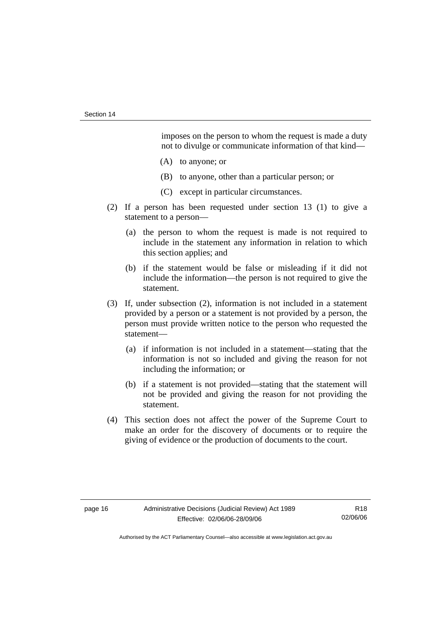imposes on the person to whom the request is made a duty not to divulge or communicate information of that kind—

- (A) to anyone; or
- (B) to anyone, other than a particular person; or
- (C) except in particular circumstances.
- (2) If a person has been requested under section 13 (1) to give a statement to a person—
	- (a) the person to whom the request is made is not required to include in the statement any information in relation to which this section applies; and
	- (b) if the statement would be false or misleading if it did not include the information—the person is not required to give the statement.
- (3) If, under subsection (2), information is not included in a statement provided by a person or a statement is not provided by a person, the person must provide written notice to the person who requested the statement—
	- (a) if information is not included in a statement—stating that the information is not so included and giving the reason for not including the information; or
	- (b) if a statement is not provided—stating that the statement will not be provided and giving the reason for not providing the statement.
- (4) This section does not affect the power of the Supreme Court to make an order for the discovery of documents or to require the giving of evidence or the production of documents to the court.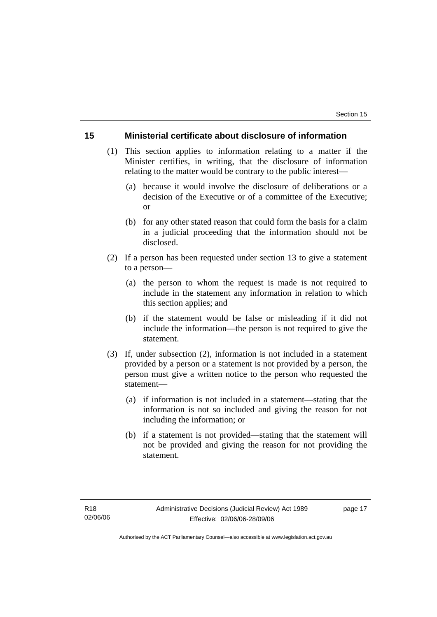### **15 Ministerial certificate about disclosure of information**

- (1) This section applies to information relating to a matter if the Minister certifies, in writing, that the disclosure of information relating to the matter would be contrary to the public interest—
	- (a) because it would involve the disclosure of deliberations or a decision of the Executive or of a committee of the Executive; or
	- (b) for any other stated reason that could form the basis for a claim in a judicial proceeding that the information should not be disclosed.
- (2) If a person has been requested under section 13 to give a statement to a person—
	- (a) the person to whom the request is made is not required to include in the statement any information in relation to which this section applies; and
	- (b) if the statement would be false or misleading if it did not include the information—the person is not required to give the statement.
- (3) If, under subsection (2), information is not included in a statement provided by a person or a statement is not provided by a person, the person must give a written notice to the person who requested the statement—
	- (a) if information is not included in a statement—stating that the information is not so included and giving the reason for not including the information; or
	- (b) if a statement is not provided—stating that the statement will not be provided and giving the reason for not providing the statement.

page 17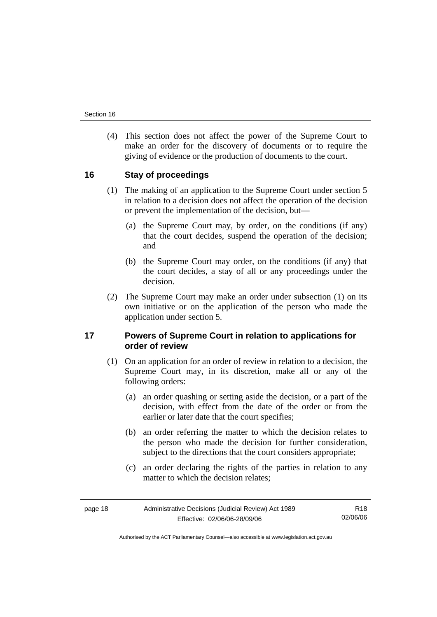(4) This section does not affect the power of the Supreme Court to make an order for the discovery of documents or to require the giving of evidence or the production of documents to the court.

## **16 Stay of proceedings**

- (1) The making of an application to the Supreme Court under section 5 in relation to a decision does not affect the operation of the decision or prevent the implementation of the decision, but—
	- (a) the Supreme Court may, by order, on the conditions (if any) that the court decides, suspend the operation of the decision; and
	- (b) the Supreme Court may order, on the conditions (if any) that the court decides, a stay of all or any proceedings under the decision.
- (2) The Supreme Court may make an order under subsection (1) on its own initiative or on the application of the person who made the application under section 5.

## **17 Powers of Supreme Court in relation to applications for order of review**

- (1) On an application for an order of review in relation to a decision, the Supreme Court may, in its discretion, make all or any of the following orders:
	- (a) an order quashing or setting aside the decision, or a part of the decision, with effect from the date of the order or from the earlier or later date that the court specifies;
	- (b) an order referring the matter to which the decision relates to the person who made the decision for further consideration, subject to the directions that the court considers appropriate;
	- (c) an order declaring the rights of the parties in relation to any matter to which the decision relates;

page 18 **Administrative Decisions (Judicial Review)** Act 1989 Effective: 02/06/06-28/09/06

R18 02/06/06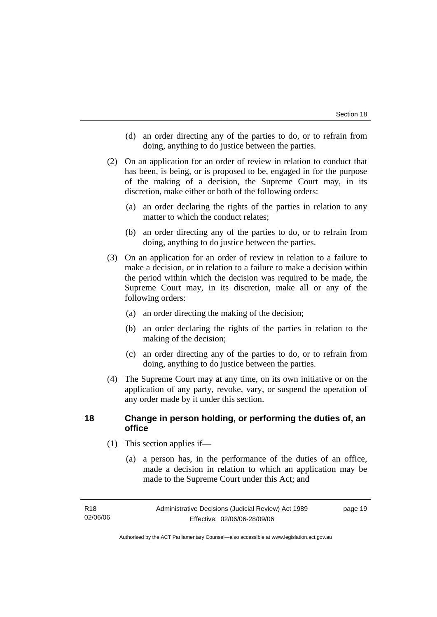- (d) an order directing any of the parties to do, or to refrain from doing, anything to do justice between the parties.
- (2) On an application for an order of review in relation to conduct that has been, is being, or is proposed to be, engaged in for the purpose of the making of a decision, the Supreme Court may, in its discretion, make either or both of the following orders:
	- (a) an order declaring the rights of the parties in relation to any matter to which the conduct relates;
	- (b) an order directing any of the parties to do, or to refrain from doing, anything to do justice between the parties.
- (3) On an application for an order of review in relation to a failure to make a decision, or in relation to a failure to make a decision within the period within which the decision was required to be made, the Supreme Court may, in its discretion, make all or any of the following orders:
	- (a) an order directing the making of the decision;
	- (b) an order declaring the rights of the parties in relation to the making of the decision;
	- (c) an order directing any of the parties to do, or to refrain from doing, anything to do justice between the parties.
- (4) The Supreme Court may at any time, on its own initiative or on the application of any party, revoke, vary, or suspend the operation of any order made by it under this section.

## **18 Change in person holding, or performing the duties of, an office**

- (1) This section applies if—
	- (a) a person has, in the performance of the duties of an office, made a decision in relation to which an application may be made to the Supreme Court under this Act; and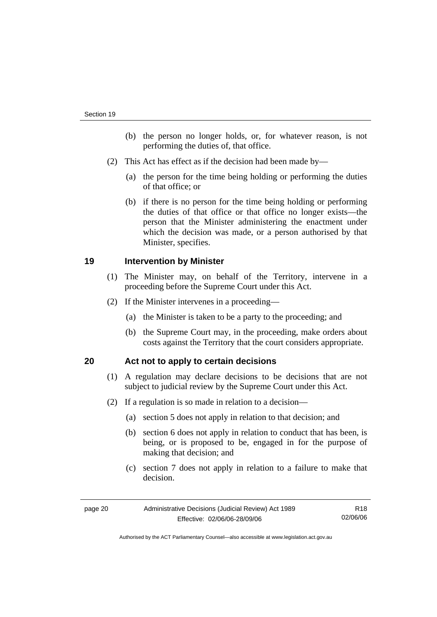- (b) the person no longer holds, or, for whatever reason, is not performing the duties of, that office.
- (2) This Act has effect as if the decision had been made by—
	- (a) the person for the time being holding or performing the duties of that office; or
	- (b) if there is no person for the time being holding or performing the duties of that office or that office no longer exists—the person that the Minister administering the enactment under which the decision was made, or a person authorised by that Minister, specifies.

### **19 Intervention by Minister**

- (1) The Minister may, on behalf of the Territory, intervene in a proceeding before the Supreme Court under this Act.
- (2) If the Minister intervenes in a proceeding—
	- (a) the Minister is taken to be a party to the proceeding; and
	- (b) the Supreme Court may, in the proceeding, make orders about costs against the Territory that the court considers appropriate.

# **20 Act not to apply to certain decisions**

- (1) A regulation may declare decisions to be decisions that are not subject to judicial review by the Supreme Court under this Act.
- (2) If a regulation is so made in relation to a decision—
	- (a) section 5 does not apply in relation to that decision; and
	- (b) section 6 does not apply in relation to conduct that has been, is being, or is proposed to be, engaged in for the purpose of making that decision; and
	- (c) section 7 does not apply in relation to a failure to make that decision.

| page 20 | Administrative Decisions (Judicial Review) Act 1989 | R18      |
|---------|-----------------------------------------------------|----------|
|         | Effective: 02/06/06-28/09/06                        | 02/06/06 |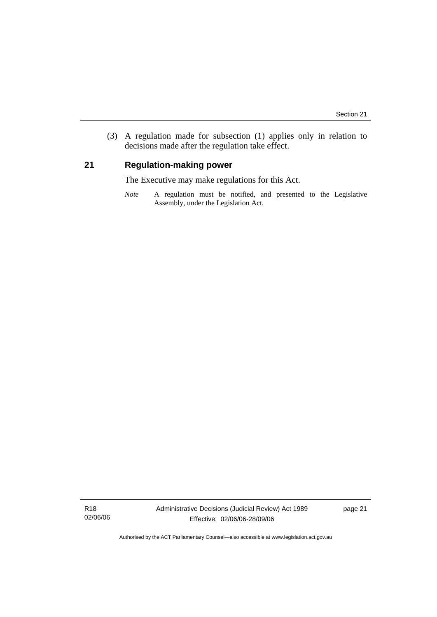(3) A regulation made for subsection (1) applies only in relation to decisions made after the regulation take effect.

# **21 Regulation-making power**

The Executive may make regulations for this Act.

*Note* A regulation must be notified, and presented to the Legislative Assembly, under the Legislation Act.

R18 02/06/06 page 21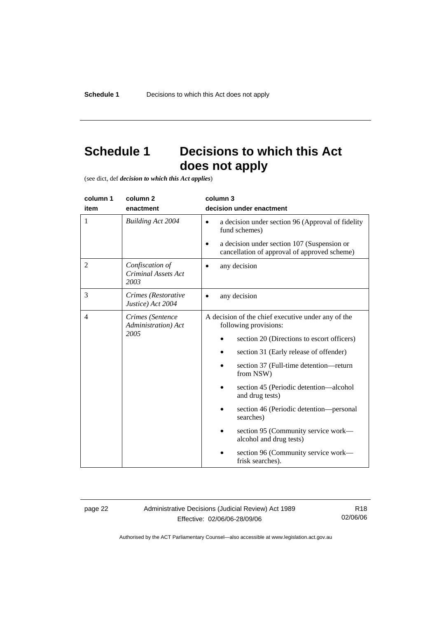# **Schedule 1 Decisions to which this Act does not apply**

(see dict, def *decision to which this Act applies*)

| column 1       | column <sub>2</sub>                                   | column 3                                                                                                 |
|----------------|-------------------------------------------------------|----------------------------------------------------------------------------------------------------------|
| item           | enactment                                             | decision under enactment                                                                                 |
| 1              | <b>Building Act 2004</b>                              | a decision under section 96 (Approval of fidelity<br>$\bullet$<br>fund schemes)                          |
|                |                                                       | a decision under section 107 (Suspension or<br>$\bullet$<br>cancellation of approval of approved scheme) |
| $\overline{2}$ | Confiscation of<br><b>Criminal Assets Act</b><br>2003 | any decision                                                                                             |
| 3              | Crimes (Restorative<br>Justice) Act 2004              | any decision                                                                                             |
| 4              | Crimes (Sentence<br>Administration) Act               | A decision of the chief executive under any of the<br>following provisions:                              |
|                | 2005                                                  | section 20 (Directions to escort officers)                                                               |
|                |                                                       | section 31 (Early release of offender)                                                                   |
|                |                                                       | section 37 (Full-time detention-return<br>from NSW)                                                      |
|                |                                                       | section 45 (Periodic detention—alcohol<br>and drug tests)                                                |
|                |                                                       | section 46 (Periodic detention—personal<br>searches)                                                     |
|                |                                                       | section 95 (Community service work—<br>alcohol and drug tests)                                           |
|                |                                                       | section 96 (Community service work—<br>frisk searches).                                                  |

page 22 Administrative Decisions (Judicial Review) Act 1989 Effective: 02/06/06-28/09/06

R18 02/06/06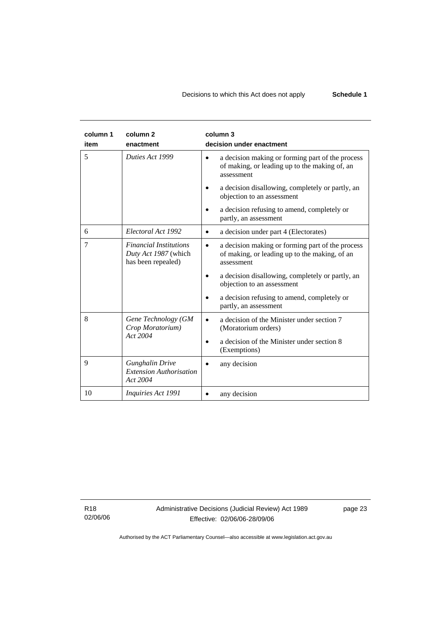| column 1<br>item | column <sub>2</sub><br>enactment                                            | column 3<br>decision under enactment                                                                                         |
|------------------|-----------------------------------------------------------------------------|------------------------------------------------------------------------------------------------------------------------------|
| 5                | Duties Act 1999                                                             | a decision making or forming part of the process<br>$\bullet$<br>of making, or leading up to the making of, an<br>assessment |
|                  |                                                                             | a decision disallowing, completely or partly, an<br>objection to an assessment                                               |
|                  |                                                                             | a decision refusing to amend, completely or<br>partly, an assessment                                                         |
| 6                | Electoral Act 1992                                                          | a decision under part 4 (Electorates)<br>$\bullet$                                                                           |
| 7                | <b>Financial Institutions</b><br>Duty Act 1987 (which<br>has been repealed) | a decision making or forming part of the process<br>of making, or leading up to the making, of an<br>assessment              |
|                  |                                                                             | a decision disallowing, completely or partly, an<br>objection to an assessment                                               |
|                  |                                                                             | a decision refusing to amend, completely or<br>partly, an assessment                                                         |
| 8                | Gene Technology (GM<br>Crop Moratorium)                                     | a decision of the Minister under section 7<br>$\bullet$<br>(Moratorium orders)                                               |
|                  | Act 2004                                                                    | a decision of the Minister under section 8<br>(Exemptions)                                                                   |
| 9                | <b>Gunghalin Drive</b><br><b>Extension Authorisation</b><br>Act 2004        | any decision                                                                                                                 |
| 10               | Inquiries Act 1991                                                          | any decision                                                                                                                 |

R18 02/06/06 Administrative Decisions (Judicial Review) Act 1989 Effective: 02/06/06-28/09/06

page 23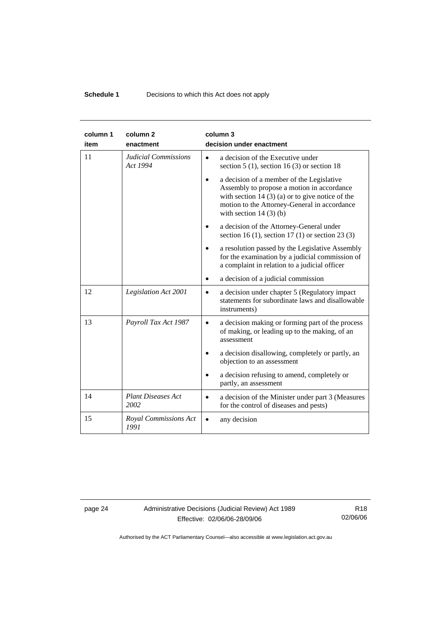# **Schedule 1 Decisions to which this Act does not apply**

| column 1<br>item | column <sub>2</sub><br>enactment        | column 3<br>decision under enactment                                                                                                                                                                                     |
|------------------|-----------------------------------------|--------------------------------------------------------------------------------------------------------------------------------------------------------------------------------------------------------------------------|
| 11               | <b>Judicial Commissions</b><br>Act 1994 | a decision of the Executive under<br>$\bullet$<br>section $5(1)$ , section $16(3)$ or section 18                                                                                                                         |
|                  |                                         | a decision of a member of the Legislative<br>Assembly to propose a motion in accordance<br>with section 14 $(3)$ (a) or to give notice of the<br>motion to the Attorney-General in accordance<br>with section $14(3)(b)$ |
|                  |                                         | a decision of the Attorney-General under<br>section 16 (1), section 17 (1) or section 23 (3)                                                                                                                             |
|                  |                                         | a resolution passed by the Legislative Assembly<br>for the examination by a judicial commission of<br>a complaint in relation to a judicial officer                                                                      |
|                  |                                         | a decision of a judicial commission                                                                                                                                                                                      |
| 12               | Legislation Act 2001                    | a decision under chapter 5 (Regulatory impact<br>$\bullet$<br>statements for subordinate laws and disallowable<br>instruments)                                                                                           |
| 13               | Payroll Tax Act 1987                    | a decision making or forming part of the process<br>$\bullet$<br>of making, or leading up to the making, of an<br>assessment                                                                                             |
|                  |                                         | a decision disallowing, completely or partly, an<br>objection to an assessment                                                                                                                                           |
|                  |                                         | a decision refusing to amend, completely or<br>partly, an assessment                                                                                                                                                     |
| 14               | <b>Plant Diseases Act</b><br>2002       | a decision of the Minister under part 3 (Measures<br>$\bullet$<br>for the control of diseases and pests)                                                                                                                 |
| 15               | Royal Commissions Act<br>1991           | any decision                                                                                                                                                                                                             |

page 24 Administrative Decisions (Judicial Review) Act 1989 Effective: 02/06/06-28/09/06

R18 02/06/06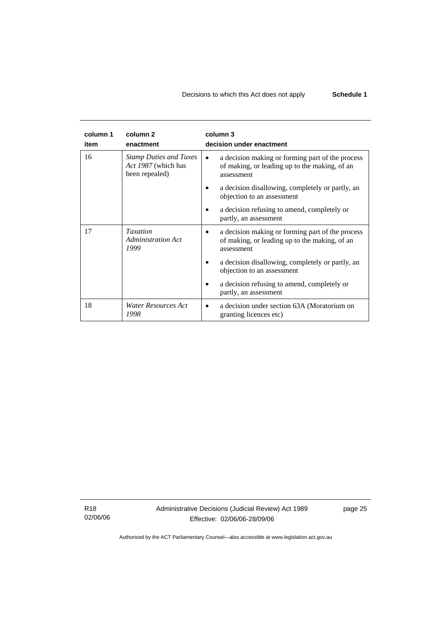# Decisions to which this Act does not apply **Schedule 1**

| column 1<br>item | column 2<br>enactment                                                  | column 3<br>decision under enactment                                                                                 |
|------------------|------------------------------------------------------------------------|----------------------------------------------------------------------------------------------------------------------|
| 16               | <b>Stamp Duties and Taxes</b><br>Act 1987 (which has<br>been repealed) | a decision making or forming part of the process<br>٠<br>of making, or leading up to the making, of an<br>assessment |
|                  |                                                                        | a decision disallowing, completely or partly, an<br>objection to an assessment                                       |
|                  |                                                                        | a decision refusing to amend, completely or<br>partly, an assessment                                                 |
| 17               | <b>Taxation</b><br>Administration Act<br>1999                          | a decision making or forming part of the process<br>of making, or leading up to the making, of an<br>assessment      |
|                  |                                                                        | a decision disallowing, completely or partly, an<br>objection to an assessment                                       |
|                  |                                                                        | a decision refusing to amend, completely or<br>partly, an assessment                                                 |
| 18               | Water Resources Act<br>1998                                            | a decision under section 63A (Moratorium on<br>granting licences etc)                                                |

R18 02/06/06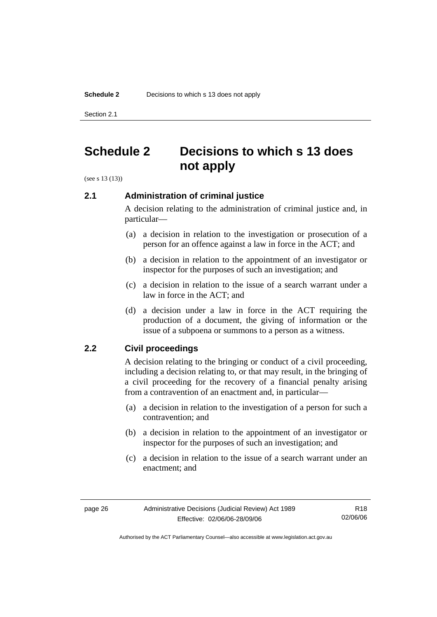Section 2.1

# **Schedule 2 Decisions to which s 13 does not apply**

(see s 13 (13))

# **2.1 Administration of criminal justice**

A decision relating to the administration of criminal justice and, in particular—

- (a) a decision in relation to the investigation or prosecution of a person for an offence against a law in force in the ACT; and
- (b) a decision in relation to the appointment of an investigator or inspector for the purposes of such an investigation; and
- (c) a decision in relation to the issue of a search warrant under a law in force in the ACT; and
- (d) a decision under a law in force in the ACT requiring the production of a document, the giving of information or the issue of a subpoena or summons to a person as a witness.

# **2.2 Civil proceedings**

A decision relating to the bringing or conduct of a civil proceeding, including a decision relating to, or that may result, in the bringing of a civil proceeding for the recovery of a financial penalty arising from a contravention of an enactment and, in particular—

- (a) a decision in relation to the investigation of a person for such a contravention; and
- (b) a decision in relation to the appointment of an investigator or inspector for the purposes of such an investigation; and
- (c) a decision in relation to the issue of a search warrant under an enactment; and

R18 02/06/06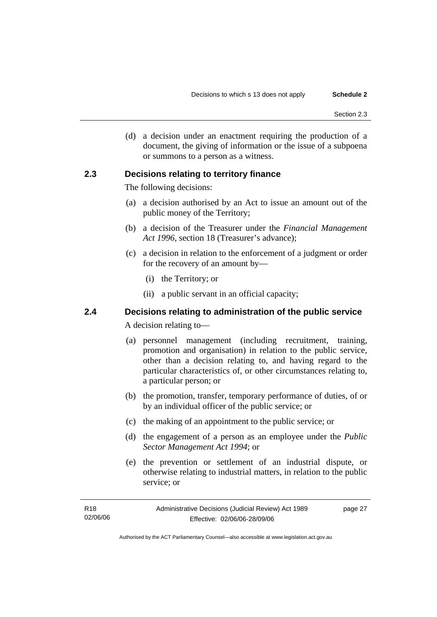(d) a decision under an enactment requiring the production of a document, the giving of information or the issue of a subpoena or summons to a person as a witness.

### **2.3 Decisions relating to territory finance**

The following decisions:

- (a) a decision authorised by an Act to issue an amount out of the public money of the Territory;
- (b) a decision of the Treasurer under the *Financial Management Act 1996*, section 18 (Treasurer's advance);
- (c) a decision in relation to the enforcement of a judgment or order for the recovery of an amount by—
	- (i) the Territory; or
	- (ii) a public servant in an official capacity;

# **2.4 Decisions relating to administration of the public service**

A decision relating to—

- (a) personnel management (including recruitment, training, promotion and organisation) in relation to the public service, other than a decision relating to, and having regard to the particular characteristics of, or other circumstances relating to, a particular person; or
- (b) the promotion, transfer, temporary performance of duties, of or by an individual officer of the public service; or
- (c) the making of an appointment to the public service; or
- (d) the engagement of a person as an employee under the *Public Sector Management Act 1994*; or
- (e) the prevention or settlement of an industrial dispute, or otherwise relating to industrial matters, in relation to the public service; or

| R18      | Administrative Decisions (Judicial Review) Act 1989 | page 27 |
|----------|-----------------------------------------------------|---------|
| 02/06/06 | Effective: 02/06/06-28/09/06                        |         |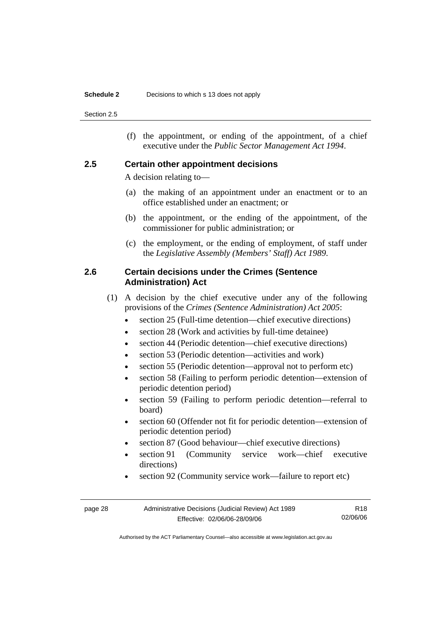#### **Schedule 2** Decisions to which s 13 does not apply

Section 2.5

 (f) the appointment, or ending of the appointment, of a chief executive under the *Public Sector Management Act 1994*.

#### **2.5 Certain other appointment decisions**

A decision relating to—

- (a) the making of an appointment under an enactment or to an office established under an enactment; or
- (b) the appointment, or the ending of the appointment, of the commissioner for public administration; or
- (c) the employment, or the ending of employment, of staff under the *Legislative Assembly (Members' Staff) Act 1989*.

# **2.6 Certain decisions under the Crimes (Sentence Administration) Act**

- (1) A decision by the chief executive under any of the following provisions of the *Crimes (Sentence Administration) Act 2005*:
	- section 25 (Full-time detention—chief executive directions)
	- section 28 (Work and activities by full-time detainee)
	- section 44 (Periodic detention—chief executive directions)
	- section 53 (Periodic detention—activities and work)
	- section 55 (Periodic detention—approval not to perform etc)
	- section 58 (Failing to perform periodic detention—extension of periodic detention period)
	- section 59 (Failing to perform periodic detention—referral to board)
	- section 60 (Offender not fit for periodic detention—extension of periodic detention period)
	- section 87 (Good behaviour—chief executive directions)
	- section 91 (Community service work—chief executive directions)
	- section 92 (Community service work—failure to report etc)

| page 28 | Administrative Decisions (Judicial Review) Act 1989 | R18      |
|---------|-----------------------------------------------------|----------|
|         | Effective: 02/06/06-28/09/06                        | 02/06/06 |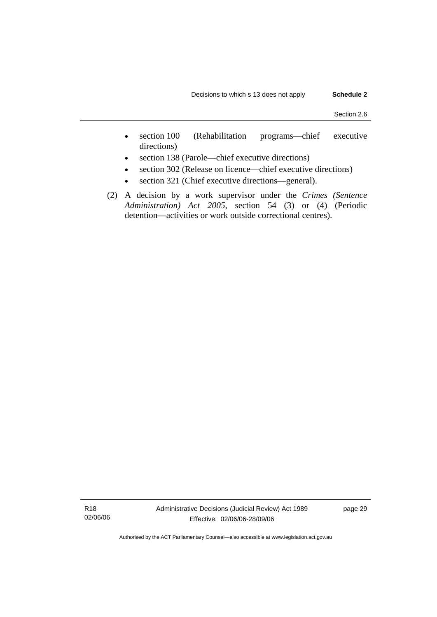- section 100 (Rehabilitation programs—chief executive directions)
- section 138 (Parole—chief executive directions)
- section 302 (Release on licence—chief executive directions)
- section 321 (Chief executive directions—general).
- (2) A decision by a work supervisor under the *Crimes (Sentence Administration) Act 2005*, section 54 (3) or (4) (Periodic detention—activities or work outside correctional centres).

R18 02/06/06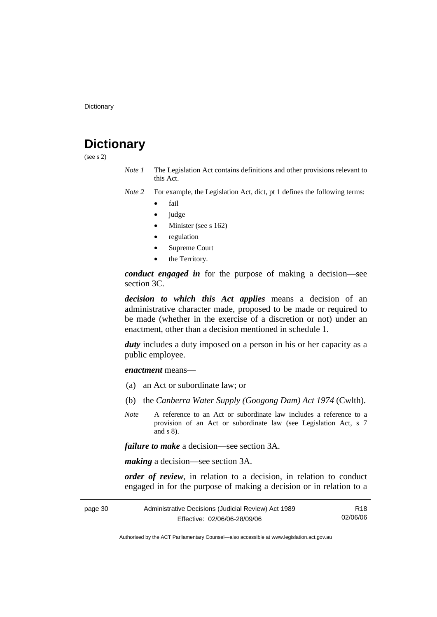# **Dictionary**

(see s 2)

- *Note 1* The Legislation Act contains definitions and other provisions relevant to this Act.
- *Note 2* For example, the Legislation Act, dict, pt 1 defines the following terms:
	- fail
	- judge
	- Minister (see s 162)
	- regulation
	- Supreme Court
	- the Territory.

*conduct engaged in* for the purpose of making a decision—see section 3C.

*decision to which this Act applies* means a decision of an administrative character made, proposed to be made or required to be made (whether in the exercise of a discretion or not) under an enactment, other than a decision mentioned in schedule 1.

*duty* includes a duty imposed on a person in his or her capacity as a public employee.

*enactment* means—

- (a) an Act or subordinate law; or
- (b) the *Canberra Water Supply (Googong Dam) Act 1974* (Cwlth).
- *Note* A reference to an Act or subordinate law includes a reference to a provision of an Act or subordinate law (see Legislation Act, s 7 and s 8).

*failure to make* a decision—see section 3A.

*making* a decision—see section 3A.

*order of review*, in relation to a decision, in relation to conduct engaged in for the purpose of making a decision or in relation to a

| page 30 | Administrative Decisions (Judicial Review) Act 1989 |          |
|---------|-----------------------------------------------------|----------|
|         | Effective: 02/06/06-28/09/06                        | 02/06/06 |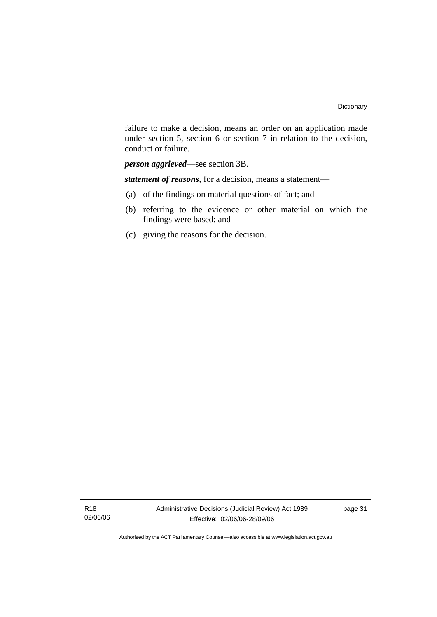failure to make a decision, means an order on an application made under section 5, section 6 or section 7 in relation to the decision, conduct or failure.

*person aggrieved*—see section 3B.

*statement of reasons*, for a decision, means a statement—

- (a) of the findings on material questions of fact; and
- (b) referring to the evidence or other material on which the findings were based; and
- (c) giving the reasons for the decision.

R18 02/06/06 page 31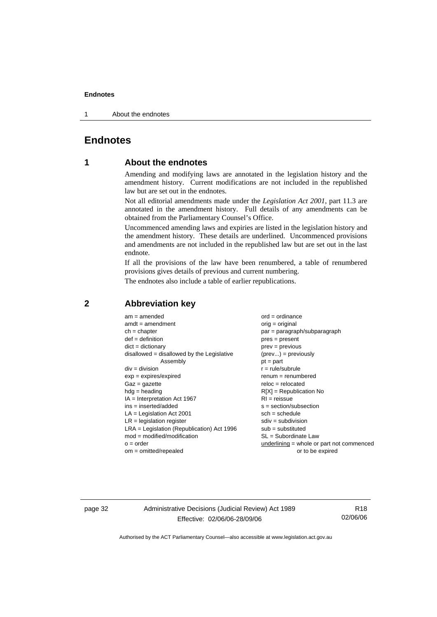1 About the endnotes

# **Endnotes**

## **1 About the endnotes**

Amending and modifying laws are annotated in the legislation history and the amendment history. Current modifications are not included in the republished law but are set out in the endnotes.

Not all editorial amendments made under the *Legislation Act 2001*, part 11.3 are annotated in the amendment history. Full details of any amendments can be obtained from the Parliamentary Counsel's Office.

Uncommenced amending laws and expiries are listed in the legislation history and the amendment history. These details are underlined. Uncommenced provisions and amendments are not included in the republished law but are set out in the last endnote.

If all the provisions of the law have been renumbered, a table of renumbered provisions gives details of previous and current numbering.

The endnotes also include a table of earlier republications.

| $am = amended$                               | $ord = ordinance$                         |
|----------------------------------------------|-------------------------------------------|
| $amdt = amendment$                           | $orig = original$                         |
| $ch = chapter$                               | $par = paragraph/subparagraph$            |
| $def = definition$                           | $pres = present$                          |
| $dict = dictionary$                          | $prev = previous$                         |
| $disallowed = disallowed by the Legislative$ | $(\text{prev}) = \text{previously}$       |
| Assembly                                     | $pt = part$                               |
| $div = division$                             | $r = rule/subrule$                        |
| $exp = expires/expired$                      | $renum = renumbered$                      |
| $Gaz = gazette$                              | $reloc = relocated$                       |
| $h dq =$ heading                             | $R[X]$ = Republication No                 |
| $IA = Interpretation Act 1967$               | $RI = reissue$                            |
| $ins = inserted/added$                       | $s = section/subsection$                  |
| $LA =$ Legislation Act 2001                  | $sch = schedule$                          |
| $LR =$ legislation register                  | $sdiv = subdivision$                      |
| $LRA =$ Legislation (Republication) Act 1996 | $sub =$ substituted                       |
| $mod = modified/modification$                | $SL = Subordinate$ Law                    |
| $o = order$                                  | underlining = whole or part not commenced |
| $om = omitted/repealed$                      | or to be expired                          |
|                                              |                                           |

#### **2 Abbreviation key**

page 32 Administrative Decisions (Judicial Review) Act 1989 Effective: 02/06/06-28/09/06

R18 02/06/06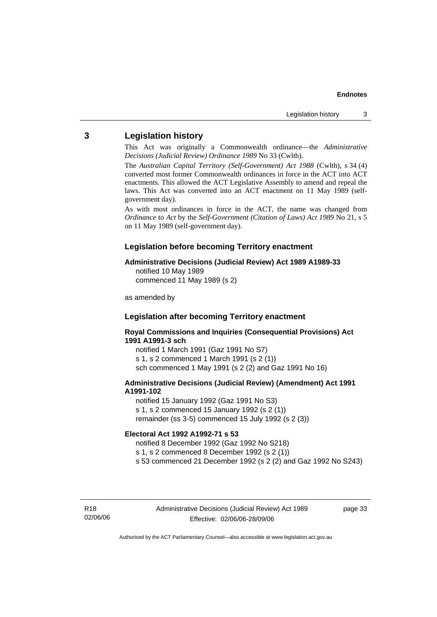### **3 Legislation history**

This Act was originally a Commonwealth ordinance—the *Administrative Decisions (Judicial Review) Ordinance 1989* No 33 (Cwlth).

The *Australian Capital Territory (Self-Government) Act 1988* (Cwlth), s 34 (4) converted most former Commonwealth ordinances in force in the ACT into ACT enactments. This allowed the ACT Legislative Assembly to amend and repeal the laws. This Act was converted into an ACT enactment on 11 May 1989 (selfgovernment day).

As with most ordinances in force in the ACT, the name was changed from *Ordinance* to *Act* by the *Self-Government (Citation of Laws) Act 1989* No 21, s 5 on 11 May 1989 (self-government day).

### **Legislation before becoming Territory enactment**

#### **Administrative Decisions (Judicial Review) Act 1989 A1989-33**

notified 10 May 1989 commenced 11 May 1989 (s 2)

as amended by

### **Legislation after becoming Territory enactment**

**Royal Commissions and Inquiries (Consequential Provisions) Act 1991 A1991-3 sch** 

notified 1 March 1991 (Gaz 1991 No S7) s 1, s 2 commenced 1 March 1991 (s 2 (1)) sch commenced 1 May 1991 (s 2 (2) and Gaz 1991 No 16)

#### **Administrative Decisions (Judicial Review) (Amendment) Act 1991 A1991-102**

notified 15 January 1992 (Gaz 1991 No S3) s 1, s 2 commenced 15 January 1992 (s 2 (1)) remainder (ss 3-5) commenced 15 July 1992 (s 2 (3))

#### **Electoral Act 1992 A1992-71 s 53**

notified 8 December 1992 (Gaz 1992 No S218)

s 1, s 2 commenced 8 December 1992 (s 2 (1))

s 53 commenced 21 December 1992 (s 2 (2) and Gaz 1992 No S243)

R18 02/06/06 page 33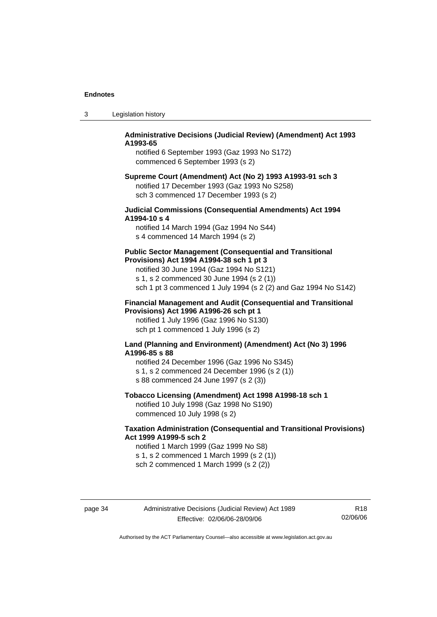| -3 | Legislation history |  |
|----|---------------------|--|
|----|---------------------|--|

#### **Administrative Decisions (Judicial Review) (Amendment) Act 1993 A1993-65**

notified 6 September 1993 (Gaz 1993 No S172) commenced 6 September 1993 (s 2)

#### **Supreme Court (Amendment) Act (No 2) 1993 A1993-91 sch 3**  notified 17 December 1993 (Gaz 1993 No S258) sch 3 commenced 17 December 1993 (s 2)

#### **Judicial Commissions (Consequential Amendments) Act 1994 A1994-10 s 4**

notified 14 March 1994 (Gaz 1994 No S44) s 4 commenced 14 March 1994 (s 2)

#### **Public Sector Management (Consequential and Transitional Provisions) Act 1994 A1994-38 sch 1 pt 3**

notified 30 June 1994 (Gaz 1994 No S121) s 1, s 2 commenced 30 June 1994 (s 2 (1)) sch 1 pt 3 commenced 1 July 1994 (s 2 (2) and Gaz 1994 No S142)

#### **Financial Management and Audit (Consequential and Transitional Provisions) Act 1996 A1996-26 sch pt 1**

notified 1 July 1996 (Gaz 1996 No S130) sch pt 1 commenced 1 July 1996 (s 2)

#### **Land (Planning and Environment) (Amendment) Act (No 3) 1996 A1996-85 s 88**

notified 24 December 1996 (Gaz 1996 No S345) s 1, s 2 commenced 24 December 1996 (s 2 (1)) s 88 commenced 24 June 1997 (s 2 (3))

### **Tobacco Licensing (Amendment) Act 1998 A1998-18 sch 1**

notified 10 July 1998 (Gaz 1998 No S190) commenced 10 July 1998 (s 2)

#### **Taxation Administration (Consequential and Transitional Provisions) Act 1999 A1999-5 sch 2**

notified 1 March 1999 (Gaz 1999 No S8) s 1, s 2 commenced 1 March 1999 (s 2 (1)) sch 2 commenced 1 March 1999 (s 2 (2))

page 34 Administrative Decisions (Judicial Review) Act 1989 Effective: 02/06/06-28/09/06

R18 02/06/06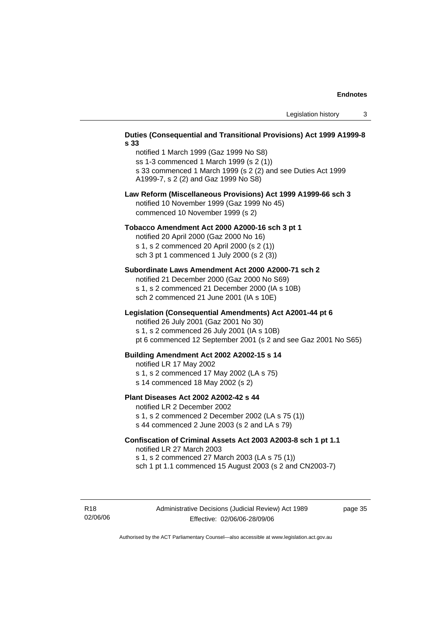#### **Duties (Consequential and Transitional Provisions) Act 1999 A1999-8 s 33**

notified 1 March 1999 (Gaz 1999 No S8) ss 1-3 commenced 1 March 1999 (s 2 (1)) s 33 commenced 1 March 1999 (s 2 (2) and see Duties Act 1999 A1999-7, s 2 (2) and Gaz 1999 No S8)

#### **Law Reform (Miscellaneous Provisions) Act 1999 A1999-66 sch 3**  notified 10 November 1999 (Gaz 1999 No 45) commenced 10 November 1999 (s 2)

#### **Tobacco Amendment Act 2000 A2000-16 sch 3 pt 1**

notified 20 April 2000 (Gaz 2000 No 16) s 1, s 2 commenced 20 April 2000 (s 2 (1)) sch 3 pt 1 commenced 1 July 2000 (s 2 (3))

#### **Subordinate Laws Amendment Act 2000 A2000-71 sch 2**

notified 21 December 2000 (Gaz 2000 No S69) s 1, s 2 commenced 21 December 2000 (IA s 10B) sch 2 commenced 21 June 2001 (IA s 10E)

#### **Legislation (Consequential Amendments) Act A2001-44 pt 6**

notified 26 July 2001 (Gaz 2001 No 30)

s 1, s 2 commenced 26 July 2001 (IA s 10B)

pt 6 commenced 12 September 2001 (s 2 and see Gaz 2001 No S65)

#### **Building Amendment Act 2002 A2002-15 s 14**

notified LR 17 May 2002

- s 1, s 2 commenced 17 May 2002 (LA s 75)
- s 14 commenced 18 May 2002 (s 2)

#### **Plant Diseases Act 2002 A2002-42 s 44**

notified LR 2 December 2002

s 1, s 2 commenced 2 December 2002 (LA s 75 (1)) s 44 commenced 2 June 2003 (s 2 and LA s 79)

# **Confiscation of Criminal Assets Act 2003 A2003-8 sch 1 pt 1.1**  notified LR 27 March 2003 s 1, s 2 commenced 27 March 2003 (LA s 75 (1))

sch 1 pt 1.1 commenced 15 August 2003 (s 2 and CN2003-7)

R18 02/06/06 page 35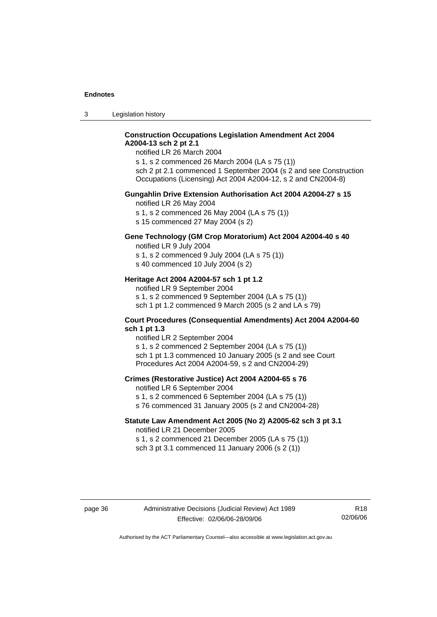3 Legislation history

#### **Construction Occupations Legislation Amendment Act 2004 A2004-13 sch 2 pt 2.1**

notified LR 26 March 2004

s 1, s 2 commenced 26 March 2004 (LA s 75 (1)) sch 2 pt 2.1 commenced 1 September 2004 (s 2 and see Construction Occupations (Licensing) Act 2004 A2004-12, s 2 and CN2004-8)

#### **Gungahlin Drive Extension Authorisation Act 2004 A2004-27 s 15**

notified LR 26 May 2004

s 1, s 2 commenced 26 May 2004 (LA s 75 (1))

s 15 commenced 27 May 2004 (s 2)

# **Gene Technology (GM Crop Moratorium) Act 2004 A2004-40 s 40**

notified LR 9 July 2004

s 1, s 2 commenced 9 July 2004 (LA s 75 (1)) s 40 commenced 10 July 2004 (s 2)

#### **Heritage Act 2004 A2004-57 sch 1 pt 1.2**

notified LR 9 September 2004 s 1, s 2 commenced 9 September 2004 (LA s 75 (1)) sch 1 pt 1.2 commenced 9 March 2005 (s 2 and LA s 79)

#### **Court Procedures (Consequential Amendments) Act 2004 A2004-60 sch 1 pt 1.3**

notified LR 2 September 2004 s 1, s 2 commenced 2 September 2004 (LA s 75 (1)) sch 1 pt 1.3 commenced 10 January 2005 (s 2 and see Court Procedures Act 2004 A2004-59, s 2 and CN2004-29)

#### **Crimes (Restorative Justice) Act 2004 A2004-65 s 76**

notified LR 6 September 2004

- s 1, s 2 commenced 6 September 2004 (LA s 75 (1))
- s 76 commenced 31 January 2005 (s 2 and CN2004-28)

#### **Statute Law Amendment Act 2005 (No 2) A2005-62 sch 3 pt 3.1**

notified LR 21 December 2005 s 1, s 2 commenced 21 December 2005 (LA s 75 (1)) sch 3 pt 3.1 commenced 11 January 2006 (s 2 (1))

R18 02/06/06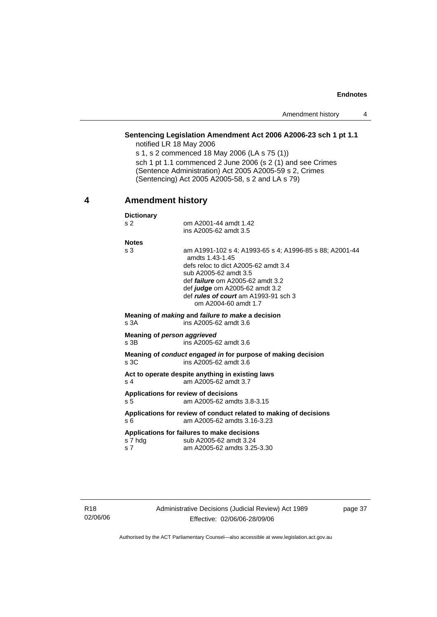Amendment history 4

# **Sentencing Legislation Amendment Act 2006 A2006-23 sch 1 pt 1.1**

notified LR 18 May 2006 s 1, s 2 commenced 18 May 2006 (LA s 75 (1)) sch 1 pt 1.1 commenced 2 June 2006 (s 2 (1) and see Crimes (Sentence Administration) Act 2005 A2005-59 s 2, Crimes (Sentencing) Act 2005 A2005-58, s 2 and LA s 79)

# **4 Amendment history**

| <b>Dictionary</b>                                                                                               |                                                                                                                                                                                                                                                                                                        |  |
|-----------------------------------------------------------------------------------------------------------------|--------------------------------------------------------------------------------------------------------------------------------------------------------------------------------------------------------------------------------------------------------------------------------------------------------|--|
| s <sub>2</sub>                                                                                                  | om A2001-44 amdt 1.42                                                                                                                                                                                                                                                                                  |  |
|                                                                                                                 | ins A2005-62 amdt 3.5                                                                                                                                                                                                                                                                                  |  |
| <b>Notes</b>                                                                                                    |                                                                                                                                                                                                                                                                                                        |  |
| s <sub>3</sub>                                                                                                  | am A1991-102 s 4: A1993-65 s 4: A1996-85 s 88: A2001-44<br>amdts 1.43-1.45<br>defs reloc to dict A2005-62 amdt 3.4<br>sub A2005-62 amdt 3.5<br>def <i>failure</i> om A2005-62 amdt 3.2<br>def <i>judge</i> om A2005-62 amdt 3.2<br>def <i>rules of court</i> am A1993-91 sch 3<br>om A2004-60 amdt 1.7 |  |
| s.3A                                                                                                            | Meaning of making and failure to make a decision<br>ins A2005-62 amdt 3.6                                                                                                                                                                                                                              |  |
| Meaning of person aggrieved<br>$s$ 3B                                                                           | ins A2005-62 amdt 3.6                                                                                                                                                                                                                                                                                  |  |
| Meaning of <i>conduct engaged in</i> for purpose of making decision<br>s <sub>3C</sub><br>ins A2005-62 amdt 3.6 |                                                                                                                                                                                                                                                                                                        |  |
| s <sub>4</sub>                                                                                                  | Act to operate despite anything in existing laws<br>am A2005-62 amdt 3.7                                                                                                                                                                                                                               |  |
| s <sub>5</sub>                                                                                                  | Applications for review of decisions<br>am A2005-62 amdts 3.8-3.15                                                                                                                                                                                                                                     |  |
| s 6                                                                                                             | Applications for review of conduct related to making of decisions<br>am A2005-62 amdts 3.16-3.23                                                                                                                                                                                                       |  |
| s 7 hdg<br>s <sub>7</sub>                                                                                       | Applications for failures to make decisions<br>sub A2005-62 amdt 3.24<br>am A2005-62 amdts 3.25-3.30                                                                                                                                                                                                   |  |

page 37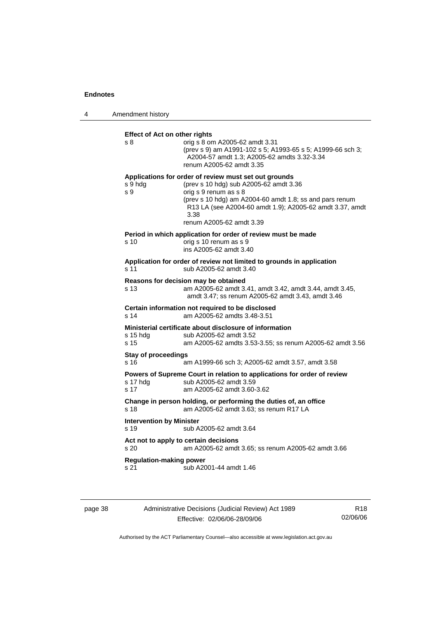# **Effect of Act on other rights**<br>s 8 orrig s 8 on s 8 orig s 8 om A2005-62 amdt 3.31

 (prev s 9) am A1991-102 s 5; A1993-65 s 5; A1999-66 sch 3; A2004-57 amdt 1.3; A2005-62 amdts 3.32-3.34 renum A2005-62 amdt 3.35

#### **Applications for order of review must set out grounds**

|                                                                                                    | s 9 hdg<br>s 9                                                                                                                                               | (prev s 10 hdg) sub A2005-62 amdt 3.36<br>orig s 9 renum as s 8<br>(prev s 10 hdg) am A2004-60 amdt 1.8; ss and pars renum<br>R13 LA (see A2004-60 amdt 1.9); A2005-62 amdt 3.37, amdt<br>3.38<br>renum A2005-62 amdt 3.39 |  |  |
|----------------------------------------------------------------------------------------------------|--------------------------------------------------------------------------------------------------------------------------------------------------------------|----------------------------------------------------------------------------------------------------------------------------------------------------------------------------------------------------------------------------|--|--|
|                                                                                                    | s 10                                                                                                                                                         | Period in which application for order of review must be made<br>orig s 10 renum as s 9<br>ins A2005-62 amdt 3.40                                                                                                           |  |  |
|                                                                                                    | Application for order of review not limited to grounds in application<br>s 11<br>sub A2005-62 amdt 3.40                                                      |                                                                                                                                                                                                                            |  |  |
|                                                                                                    | Reasons for decision may be obtained<br>am A2005-62 amdt 3.41, amdt 3.42, amdt 3.44, amdt 3.45,<br>s 13<br>amdt 3.47; ss renum A2005-62 amdt 3.43, amdt 3.46 |                                                                                                                                                                                                                            |  |  |
| Certain information not required to be disclosed<br>am A2005-62 amdts 3.48-3.51<br>s <sub>14</sub> |                                                                                                                                                              |                                                                                                                                                                                                                            |  |  |
|                                                                                                    | s 15 hdg<br>s 15                                                                                                                                             | Ministerial certificate about disclosure of information<br>sub A2005-62 amdt 3.52<br>am A2005-62 amdts 3.53-3.55; ss renum A2005-62 amdt 3.56                                                                              |  |  |
|                                                                                                    | Stay of proceedings<br>s 16                                                                                                                                  | am A1999-66 sch 3; A2005-62 amdt 3.57, amdt 3.58                                                                                                                                                                           |  |  |
|                                                                                                    | s 17 hdg<br>s 17                                                                                                                                             | Powers of Supreme Court in relation to applications for order of review<br>sub A2005-62 amdt 3.59<br>am A2005-62 amdt 3.60-3.62                                                                                            |  |  |

**Change in person holding, or performing the duties of, an office**  s 18 am A2005-62 amdt 3.63; ss renum R17 LA

**Intervention by Minister**  sub A2005-62 amdt 3.64

# **Act not to apply to certain decisions**  s 20 am A2005-62 amdt 3.65; ss renum A2005-62 amdt 3.66

**Regulation-making power** 

s 21 **sub A2001-44 amdt 1.46** 

| page 38 |  |
|---------|--|
|---------|--|

# page 38 Administrative Decisions (Judicial Review) Act 1989 Effective: 02/06/06-28/09/06

R18 02/06/06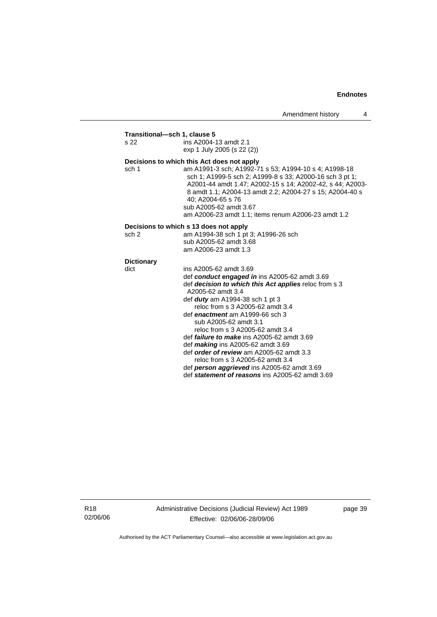# **Transitional—sch 1, clause 5**

ins A2004-13 amdt 2.1 exp 1 July 2005 (s 22 (2))

# **Decisions to which this Act does not apply**<br>sch 1 am A1991-3 sch; A1992-7

am A1991-3 sch; A1992-71 s 53; A1994-10 s 4; A1998-18 sch 1; A1999-5 sch 2; A1999-8 s 33; A2000-16 sch 3 pt 1; A2001-44 amdt 1.47; A2002-15 s 14; A2002-42, s 44; A2003- 8 amdt 1.1; A2004-13 amdt 2.2; A2004-27 s 15; A2004-40 s 40; A2004-65 s 76 sub A2005-62 amdt 3.67 am A2006-23 amdt 1.1; items renum A2006-23 amdt 1.2

#### **Decisions to which s 13 does not apply**

| sch 2 | am A1994-38 sch 1 pt 3; A1996-26 sch |
|-------|--------------------------------------|
|       | sub A2005-62 amdt 3.68               |
|       | am A2006-23 amdt 1.3                 |

# **Dictionary**

| ins A2005-62 amdt 3.69                                |
|-------------------------------------------------------|
| def conduct engaged in ins A2005-62 amdt 3.69         |
| def decision to which this Act applies reloc from s 3 |
| A2005-62 amdt 3.4                                     |
| def <b>duty</b> am A1994-38 sch 1 pt 3                |
| reloc from s 3 A2005-62 amdt 3.4                      |
| def enactment am A1999-66 sch 3                       |
| sub A2005-62 amdt 3.1                                 |
| reloc from s 3 A2005-62 amdt 3.4                      |
| def <i>failure to make</i> ins $A2005-62$ amdt $3.69$ |
| def <i>making</i> ins $A2005-62$ amdt $3.69$          |
| def order of review am A2005-62 amdt 3.3              |
| reloc from s 3 A2005-62 amdt 3.4                      |
| def person aggrieved ins A2005-62 amdt 3.69           |
| def statement of reasons ins A2005-62 amdt 3.69       |
|                                                       |

R18 02/06/06 Administrative Decisions (Judicial Review) Act 1989 Effective: 02/06/06-28/09/06

page 39